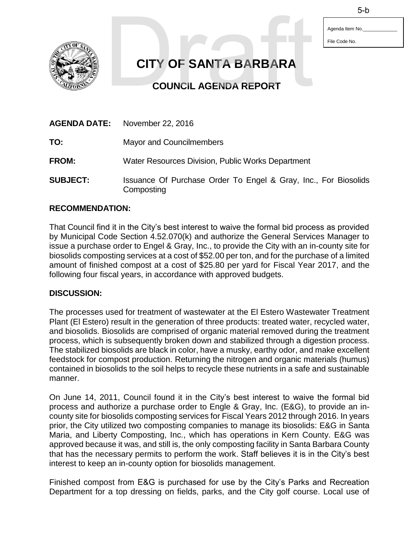Agenda Item No. File Code No.



**CITY OF SANTA BARBARA**  5-b<br>
CITY OF SANTA BARBARA<br>
COUNCIL AGENDA REPORT

**COUNCIL AGENDA REPORT** 

|                 | <b>AGENDA DATE:</b> November 22, 2016                                         |
|-----------------|-------------------------------------------------------------------------------|
| TO:             | <b>Mayor and Councilmembers</b>                                               |
| <b>FROM:</b>    | Water Resources Division, Public Works Department                             |
| <b>SUBJECT:</b> | Issuance Of Purchase Order To Engel & Gray, Inc., For Biosolids<br>Composting |

## **RECOMMENDATION:**

That Council find it in the City's best interest to waive the formal bid process as provided by Municipal Code Section 4.52.070(k) and authorize the General Services Manager to issue a purchase order to Engel & Gray, Inc., to provide the City with an in-county site for biosolids composting services at a cost of \$52.00 per ton, and for the purchase of a limited amount of finished compost at a cost of \$25.80 per yard for Fiscal Year 2017, and the following four fiscal years, in accordance with approved budgets.

## **DISCUSSION:**

The processes used for treatment of wastewater at the El Estero Wastewater Treatment Plant (El Estero) result in the generation of three products: treated water, recycled water, and biosolids. Biosolids are comprised of organic material removed during the treatment process, which is subsequently broken down and stabilized through a digestion process. The stabilized biosolids are black in color, have a musky, earthy odor, and make excellent feedstock for compost production. Returning the nitrogen and organic materials (humus) contained in biosolids to the soil helps to recycle these nutrients in a safe and sustainable manner.

On June 14, 2011, Council found it in the City's best interest to waive the formal bid process and authorize a purchase order to Engle & Gray, Inc. (E&G), to provide an incounty site for biosolids composting services for Fiscal Years 2012 through 2016. In years prior, the City utilized two composting companies to manage its biosolids: E&G in Santa Maria, and Liberty Composting, Inc., which has operations in Kern County. E&G was approved because it was, and still is, the only composting facility in Santa Barbara County that has the necessary permits to perform the work. Staff believes it is in the City's best interest to keep an in-county option for biosolids management.

Finished compost from E&G is purchased for use by the City's Parks and Recreation Department for a top dressing on fields, parks, and the City golf course. Local use of